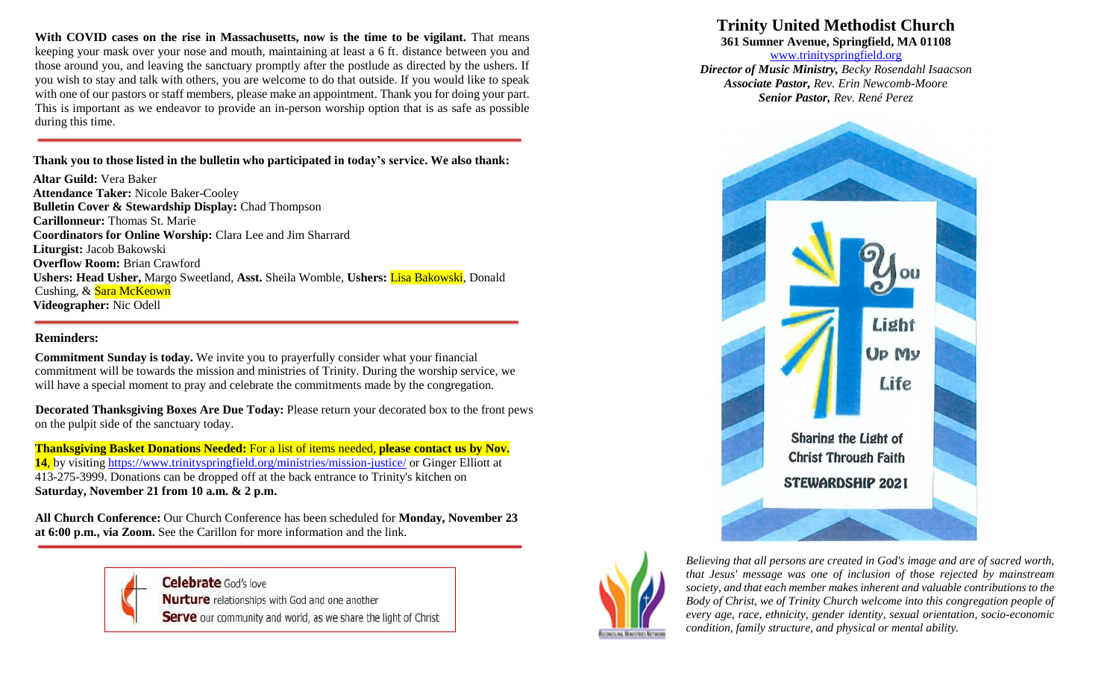**With COVID cases on the rise in Massachusetts, now is the time to be vigilant.** That means keeping your mask over your nose and mouth, maintaining at least a 6 ft. distance between you and those around you, and leaving the sanctuary promptly after the postlude as directed by the ushers. If you wish to stay and talk with others, you are welcome to do that outside. If you would like to speak with one of our pastors or staff members, please make an appointment. Thank you for doing your part. This is important as we endeavor to provide an in-person worship option that is as safe as possible during this time.

#### **Thank you to those listed in the bulletin who participated in today's service. We also thank:**

**Altar Guild:** Vera Baker **Attendance Taker:** Nicole Baker-Cooley **Bulletin Cover & Stewardship Display:** Chad Thompson **Carillonneur:** Thomas St. Marie **Coordinators for Online Worship:** Clara Lee and Jim Sharrard **Liturgist:** Jacob Bakowski **Overflow Room:** Brian Crawford **Ushers: Head Usher,** Margo Sweetland, **Asst.** Sheila Womble, **Ushers:** Lisa Bakowski, Donald Cushing, & Sara McKeown **Videographer:** Nic Odell

#### **Reminders:**

**Commitment Sunday is today.** We invite you to prayerfully consider what your financial commitment will be towards the mission and ministries of Trinity. During the worship service, we will have a special moment to pray and celebrate the commitments made by the congregation.

**Decorated Thanksgiving Boxes Are Due Today: Please return your decorated box to the front pews** on the pulpit side of the sanctuary today.

**Thanksgiving Basket Donations Needed:** For a list of items needed, **please contact us by Nov. 14**, by visiting <https://www.trinityspringfield.org/ministries/mission-justice/> or Ginger Elliott at 413-275-3999. Donations can be dropped off at the back entrance to Trinity's kitchen on **Saturday, November 21 from 10 a.m. & 2 p.m.**

**All Church Conference:** Our Church Conference has been scheduled for **Monday, November 23 at 6:00 p.m., via Zoom.** See the Carillon for more information and the link.



## **Trinity United Methodist Church**

**361 Sumner Avenue, Springfield, MA 01108**

[www.trinityspringfield.org](http://www.trinityspringfield.org/) *Director of Music Ministry, Becky Rosendahl Isaacson Associate Pastor, Rev. Erin Newcomb-Moore Senior Pastor, Rev. René Perez*





*Believing that all persons are created in God's image and are of sacred worth, that Jesus' message was one of inclusion of those rejected by mainstream society, and that each member makes inherent and valuable contributions to the Body of Christ, we of Trinity Church welcome into this congregation people of every age, race, ethnicity, gender identity, sexual orientation, socio-economic condition, family structure, and physical or mental ability.*